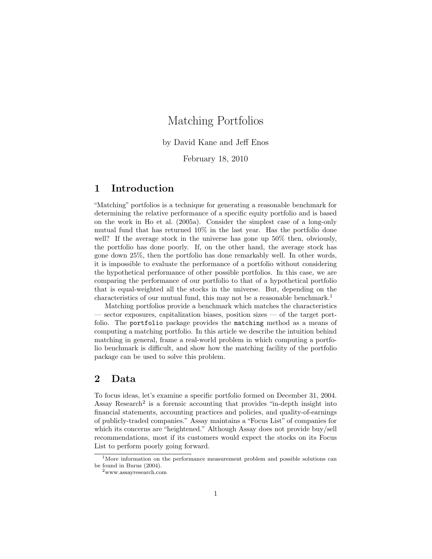# Matching Portfolios

by David Kane and Jeff Enos

February 18, 2010

### 1 Introduction

"Matching" portfolios is a technique for generating a reasonable benchmark for determining the relative performance of a specific equity portfolio and is based on the work in Ho et al. (2005a). Consider the simplest case of a long-only mutual fund that has returned 10% in the last year. Has the portfolio done well? If the average stock in the universe has gone up 50% then, obviously, the portfolio has done poorly. If, on the other hand, the average stock has gone down 25%, then the portfolio has done remarkably well. In other words, it is impossible to evaluate the performance of a portfolio without considering the hypothetical performance of other possible portfolios. In this case, we are comparing the performance of our portfolio to that of a hypothetical portfolio that is equal-weighted all the stocks in the universe. But, depending on the characteristics of our mutual fund, this may not be a reasonable benchmark.<sup>1</sup>

Matching portfolios provide a benchmark which matches the characteristics — sector exposures, capitalization biases, position sizes — of the target portfolio. The portfolio package provides the matching method as a means of computing a matching portfolio. In this article we describe the intuition behind matching in general, frame a real-world problem in which computing a portfolio benchmark is difficult, and show how the matching facility of the portfolio package can be used to solve this problem.

### 2 Data

To focus ideas, let's examine a specific portfolio formed on December 31, 2004. Assay Research<sup>2</sup> is a forensic accounting that provides "in-depth insight into financial statements, accounting practices and policies, and quality-of-earnings of publicly-traded companies." Assay maintains a "Focus List" of companies for which its concerns are "heightened." Although Assay does not provide buy/sell recommendations, most if its customers would expect the stocks on its Focus List to perform poorly going forward.

<sup>&</sup>lt;sup>1</sup>More information on the performance measurement problem and possible solutions can be found in Burns (2004).

 $^2$ www.assayresearch.com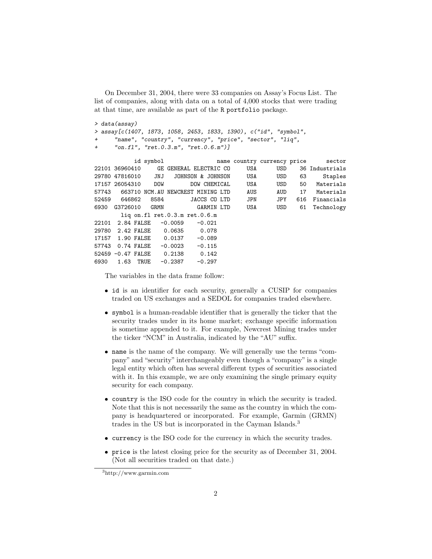On December 31, 2004, there were 33 companies on Assay's Focus List. The list of companies, along with data on a total of 4,000 stocks that were trading at that time, are available as part of the R portfolio package.

```
> data(assay)
> assay[c(1407, 1873, 1058, 2453, 1833, 1390), c("id", "symbol",
      "name", "country", "currency", "price", "sector", "liq",
      "on.f1", "ret.0.3.m", "ret.0.6.m")
```

|       |                               | id symbol |                                   |          |              |     | name country currency price |     | sector         |
|-------|-------------------------------|-----------|-----------------------------------|----------|--------------|-----|-----------------------------|-----|----------------|
|       | 22101 36960410                |           | GE GENERAL ELECTRIC CO            |          |              | USA | USD                         |     | 36 Industrials |
|       | 29780 47816010                | JNJ       | JOHNSON & JOHNSON                 |          |              | USA | USD                         | 63  | Staples        |
|       | 17157 26054310 DOW            |           |                                   |          | DOW CHEMICAL | USA | USD                         | 50  | Materials      |
| 57743 |                               |           | 663710 NCM.AU NEWCREST MINING LTD |          |              | AUS | AUD                         | 17  | Materials      |
| 52459 | 646862                        | 8584      |                                   |          | JACCS CO LTD | JPN | <b>JPY</b>                  | 616 | Financials     |
| 6930  | G3726010 GRMN                 |           |                                   |          | GARMIN LTD   | USA | <b>USD</b>                  | 61  | Technology     |
|       |                               |           | liq on.fl $ret.0.3.m.ret.0.6.m$   |          |              |     |                             |     |                |
|       | 22101 2.84 FALSE              |           | $-0.0059$                         | $-0.021$ |              |     |                             |     |                |
|       | 29780 2.42 FALSE 0.0635 0.078 |           |                                   |          |              |     |                             |     |                |
|       | 17157 1.90 FALSE              |           | 0.0137                            | $-0.089$ |              |     |                             |     |                |
| 57743 | 0.74 FALSE                    |           | $-0.0023$                         | $-0.115$ |              |     |                             |     |                |
|       | 52459 -0.47 FALSE             |           | 0.2138                            | 0.142    |              |     |                             |     |                |
| 6930  | 1.63                          | TRUE      | $-0.2387$                         | $-0.297$ |              |     |                             |     |                |
|       |                               |           |                                   |          |              |     |                             |     |                |

The variables in the data frame follow:

- id is an identifier for each security, generally a CUSIP for companies traded on US exchanges and a SEDOL for companies traded elsewhere.
- symbol is a human-readable identifier that is generally the ticker that the security trades under in its home market; exchange specific information is sometime appended to it. For example, Newcrest Mining trades under the ticker "NCM" in Australia, indicated by the "AU" suffix.
- name is the name of the company. We will generally use the terms "company" and "security" interchangeably even though a "company" is a single legal entity which often has several different types of securities associated with it. In this example, we are only examining the single primary equity security for each company.
- country is the ISO code for the country in which the security is traded. Note that this is not necessarily the same as the country in which the company is headquartered or incorporated. For example, Garmin (GRMN) trades in the US but is incorporated in the Cayman Islands.<sup>3</sup>
- currency is the ISO code for the currency in which the security trades.
- price is the latest closing price for the security as of December 31, 2004. (Not all securities traded on that date.)

<sup>3</sup>http://www.garmin.com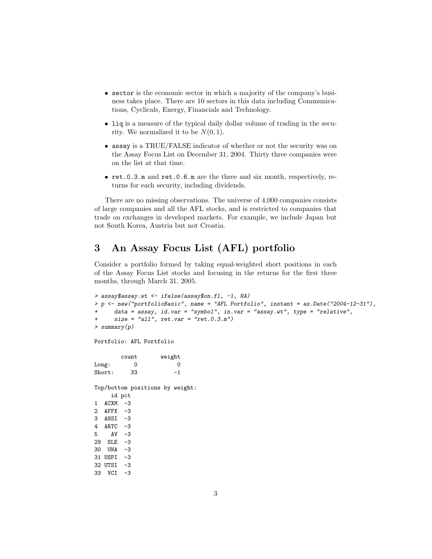- sector is the economic sector in which a majority of the company's business takes place. There are 10 sectors in this data including Communications, Cyclicals, Energy, Financials and Technology.
- liq is a measure of the typical daily dollar volume of trading in the security. We normalized it to be  $N(0, 1)$ .
- assay is a TRUE/FALSE indicator of whether or not the security was on the Assay Focus List on December 31, 2004. Thirty three companies were on the list at that time.
- ret.0.3.m and ret.0.6.m are the three and six month, respectively, returns for each security, including dividends.

There are no missing observations. The universe of 4,000 companies consists of large companies and all the AFL stocks, and is restricted to companies that trade on exchanges in developed markets. For example, we include Japan but not South Korea, Austria but not Croatia.

## 3 An Assay Focus List (AFL) portfolio

Consider a portfolio formed by taking equal-weighted short positions in each of the Assay Focus List stocks and focusing in the returns for the first three months, through March 31, 2005.

```
> assay$assay.wt <- ifelse(assay$on.fl, -1, NA)
> p <- new("portfolioBasic", name = "AFL Portfolio", instant = as.Date("2004-12-31"),
     data = assay, id.var = "symbol", in.var = "assay.wt", type = "relative",+ size = "all", ret.var = "ret.0.3.m")
> summary(p)
Portfolio: AFL Portfolio
       count weight
Long: 0 0Short: 33 -1
Top/bottom positions by weight:
    id pct
1 ACXM -3
2 AFFX -3
3 ANSI -3
4 ARTC -3
5 AV -3
29 SLE -3
30 UNA -3
31 USPI -3
32 UTSI -3
33 VCI -3
```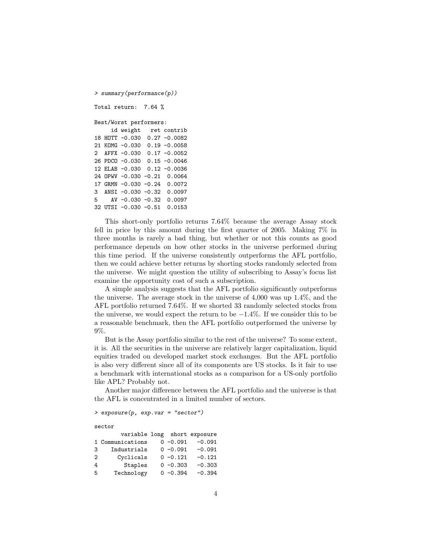```
> summary(performance(p))
Total return: 7.64 %
Best/Worst performers:
    id weight ret contrib
18 HOTT -0.030 0.27 -0.0082
21 KOMG -0.030 0.19 -0.0058
2 AFFX -0.030 0.17 -0.0052
26 PDCO -0.030 0.15 -0.0046
12 ELAB -0.030 0.12 -0.0036
24 OPWV -0.030 -0.21 0.0064
17 GRMN -0.030 -0.24 0.0072
3 ANSI -0.030 -0.32 0.0097
5 AV -0.030 -0.32 0.0097
32 UTSI -0.030 -0.51 0.0153
```
This short-only portfolio returns 7.64% because the average Assay stock fell in price by this amount during the first quarter of 2005. Making 7% in three months is rarely a bad thing, but whether or not this counts as good performance depends on how other stocks in the universe performed during this time period. If the universe consistently outperforms the AFL portfolio, then we could achieve better returns by shorting stocks randomly selected from the universe. We might question the utility of subscribing to Assay's focus list examine the opportunity cost of such a subscription.

A simple analysis suggests that the AFL portfolio significantly outperforms the universe. The average stock in the universe of 4,000 was up 1.4%, and the AFL portfolio returned 7.64%. If we shorted 33 randomly selected stocks from the universe, we would expect the return to be  $-1.4\%$ . If we consider this to be a reasonable benchmark, then the AFL portfolio outperformed the universe by 9%.

But is the Assay portfolio similar to the rest of the universe? To some extent, it is. All the securities in the universe are relatively larger capitalization, liquid equities traded on developed market stock exchanges. But the AFL portfolio is also very different since all of its components are US stocks. Is it fair to use a benchmark with international stocks as a comparison for a US-only portfolio like APL? Probably not.

Another major difference between the AFL portfolio and the universe is that the AFL is concentrated in a limited number of sectors.

> exposure(p, exp.var = "sector")

```
sector
```

|    | variable long short exposure |             |          |
|----|------------------------------|-------------|----------|
|    | 1 Communications             | $0 - 0.091$ | $-0.091$ |
| 3  | Industrials                  | $0 - 0.091$ | $-0.091$ |
| 2  | Cyclicals                    | $0 - 0.121$ | $-0.121$ |
| 4  | Staples                      | $0 - 0.303$ | $-0.303$ |
| -5 | Technology                   | $0 - 0.394$ | $-0.394$ |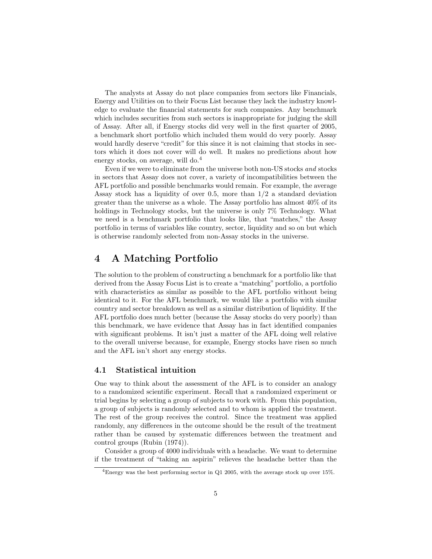The analysts at Assay do not place companies from sectors like Financials, Energy and Utilities on to their Focus List because they lack the industry knowledge to evaluate the financial statements for such companies. Any benchmark which includes securities from such sectors is inappropriate for judging the skill of Assay. After all, if Energy stocks did very well in the first quarter of 2005, a benchmark short portfolio which included them would do very poorly. Assay would hardly deserve "credit" for this since it is not claiming that stocks in sectors which it does not cover will do well. It makes no predictions about how energy stocks, on average, will do.<sup>4</sup>

Even if we were to eliminate from the universe both non-US stocks and stocks in sectors that Assay does not cover, a variety of incompatibilities between the AFL portfolio and possible benchmarks would remain. For example, the average Assay stock has a liquidity of over 0.5, more than  $1/2$  a standard deviation greater than the universe as a whole. The Assay portfolio has almost 40% of its holdings in Technology stocks, but the universe is only 7% Technology. What we need is a benchmark portfolio that looks like, that "matches," the Assay portfolio in terms of variables like country, sector, liquidity and so on but which is otherwise randomly selected from non-Assay stocks in the universe.

### 4 A Matching Portfolio

The solution to the problem of constructing a benchmark for a portfolio like that derived from the Assay Focus List is to create a "matching" portfolio, a portfolio with characteristics as similar as possible to the AFL portfolio without being identical to it. For the AFL benchmark, we would like a portfolio with similar country and sector breakdown as well as a similar distribution of liquidity. If the AFL portfolio does much better (because the Assay stocks do very poorly) than this benchmark, we have evidence that Assay has in fact identified companies with significant problems. It isn't just a matter of the AFL doing well relative to the overall universe because, for example, Energy stocks have risen so much and the AFL isn't short any energy stocks.

#### 4.1 Statistical intuition

One way to think about the assessment of the AFL is to consider an analogy to a randomized scientific experiment. Recall that a randomized experiment or trial begins by selecting a group of subjects to work with. From this population, a group of subjects is randomly selected and to whom is applied the treatment. The rest of the group receives the control. Since the treatment was applied randomly, any differences in the outcome should be the result of the treatment rather than be caused by systematic differences between the treatment and control groups (Rubin (1974)).

Consider a group of 4000 individuals with a headache. We want to determine if the treatment of "taking an aspirin" relieves the headache better than the

<sup>4</sup>Energy was the best performing sector in Q1 2005, with the average stock up over 15%.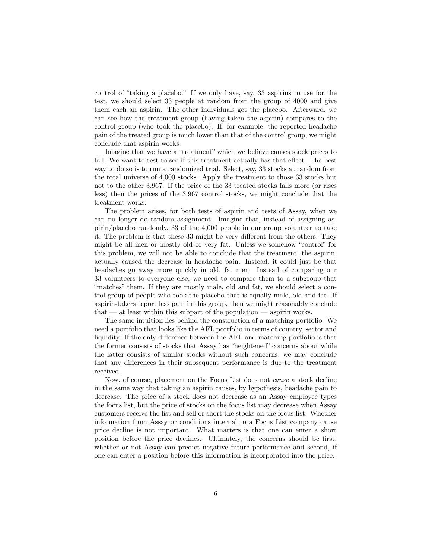control of "taking a placebo." If we only have, say, 33 aspirins to use for the test, we should select 33 people at random from the group of 4000 and give them each an aspirin. The other individuals get the placebo. Afterward, we can see how the treatment group (having taken the aspirin) compares to the control group (who took the placebo). If, for example, the reported headache pain of the treated group is much lower than that of the control group, we might conclude that aspirin works.

Imagine that we have a "treatment" which we believe causes stock prices to fall. We want to test to see if this treatment actually has that effect. The best way to do so is to run a randomized trial. Select, say, 33 stocks at random from the total universe of 4,000 stocks. Apply the treatment to those 33 stocks but not to the other 3,967. If the price of the 33 treated stocks falls more (or rises less) then the prices of the 3,967 control stocks, we might conclude that the treatment works.

The problem arises, for both tests of aspirin and tests of Assay, when we can no longer do random assignment. Imagine that, instead of assigning aspirin/placebo randomly, 33 of the 4,000 people in our group volunteer to take it. The problem is that these 33 might be very different from the others. They might be all men or mostly old or very fat. Unless we somehow "control" for this problem, we will not be able to conclude that the treatment, the aspirin, actually caused the decrease in headache pain. Instead, it could just be that headaches go away more quickly in old, fat men. Instead of comparing our 33 volunteers to everyone else, we need to compare them to a subgroup that "matches" them. If they are mostly male, old and fat, we should select a control group of people who took the placebo that is equally male, old and fat. If aspirin-takers report less pain in this group, then we might reasonably conclude that — at least within this subpart of the population — aspirin works.

The same intuition lies behind the construction of a matching portfolio. We need a portfolio that looks like the AFL portfolio in terms of country, sector and liquidity. If the only difference between the AFL and matching portfolio is that the former consists of stocks that Assay has "heightened" concerns about while the latter consists of similar stocks without such concerns, we may conclude that any differences in their subsequent performance is due to the treatment received.

Now, of course, placement on the Focus List does not cause a stock decline in the same way that taking an aspirin causes, by hypothesis, headache pain to decrease. The price of a stock does not decrease as an Assay employee types the focus list, but the price of stocks on the focus list may decrease when Assay customers receive the list and sell or short the stocks on the focus list. Whether information from Assay or conditions internal to a Focus List company cause price decline is not important. What matters is that one can enter a short position before the price declines. Ultimately, the concerns should be first, whether or not Assay can predict negative future performance and second, if one can enter a position before this information is incorporated into the price.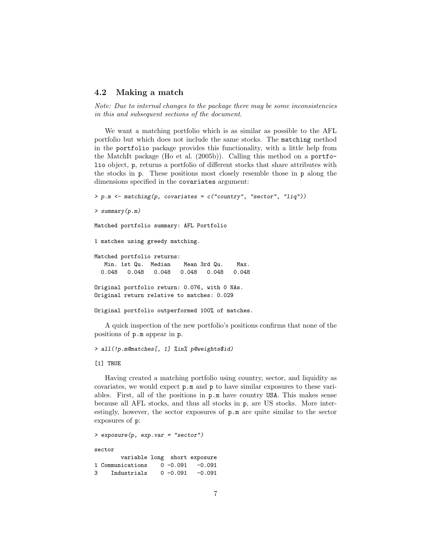#### 4.2 Making a match

Note: Due to internal changes to the package there may be some inconsistencies in this and subsequent sections of the document.

We want a matching portfolio which is as similar as possible to the AFL portfolio but which does not include the same stocks. The matching method in the portfolio package provides this functionality, with a little help from the MatchIt package (Ho et al. (2005b)). Calling this method on a portfolio object, p, returns a portfolio of different stocks that share attributes with the stocks in p. These positions most closely resemble those in p along the dimensions specified in the covariates argument:

```
> p.m \leq matching(p, covariates = c("country", "sector", "liq"))> summary(p.m)
Matched portfolio summary: AFL Portfolio
1 matches using greedy matching.
Matched portfolio returns:
  Min. 1st Qu. Median Mean 3rd Qu. Max.
  0.048 0.048 0.048 0.048 0.048 0.048
Original portfolio return: 0.076, with 0 NAs.
Original return relative to matches: 0.029
Original portfolio outperformed 100% of matches.
```
A quick inspection of the new portfolio's positions confirms that none of the positions of p.m appear in p.

> all(!p.m@matches[, 1] %in% p@weights\$id)

[1] TRUE

Having created a matching portfolio using country, sector, and liquidity as covariates, we would expect p.m and p to have similar exposures to these variables. First, all of the positions in p.m have country USA. This makes sense because all AFL stocks, and thus all stocks in p, are US stocks. More interestingly, however, the sector exposures of p.m are quite similar to the sector exposures of p:

```
> exposure(p, exp.var = "sector")
sector
       variable long short exposure
1 Communications 0 -0.091 -0.091
3 Industrials 0 -0.091 -0.091
```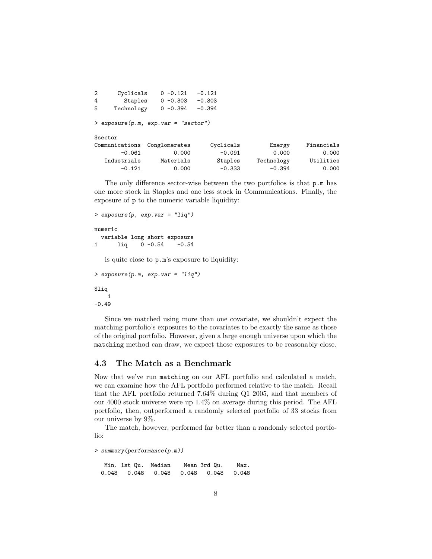| 2 | Cyclicals      | $0 - 0.121$                         | $-0.121$  |            |            |
|---|----------------|-------------------------------------|-----------|------------|------------|
| 4 | Staples        | $0 - 0.303$                         | $-0.303$  |            |            |
| 5 | Technology     | $0 - 0.394$                         | $-0.394$  |            |            |
|   |                | > exposure(p.m, exp.var = "sector") |           |            |            |
|   | \$sector       |                                     |           |            |            |
|   | Communications | Conglomerates                       | Cyclicals | Energy     | Financials |
|   | $-0.061$       | 0.000                               | $-0.091$  | 0.000      | 0.000      |
|   | Industrials    | Materials                           | Staples   | Technology | Utilities  |
|   | $-0.121$       | 0.000                               | $-0.333$  | $-0.394$   | 0.000      |

The only difference sector-wise between the two portfolios is that p.m has one more stock in Staples and one less stock in Communications. Finally, the exposure of p to the numeric variable liquidity:

```
> exposure(p, exp.var = "liq")
numeric
  variable long short exposure
1 liq 0 -0.54 -0.54
   is quite close to p.m's exposure to liquidity:
> exposure(p.m, exp.var = "liq")
```
\$liq 1  $-0.49$ 

Since we matched using more than one covariate, we shouldn't expect the matching portfolio's exposures to the covariates to be exactly the same as those of the original portfolio. However, given a large enough universe upon which the matching method can draw, we expect those exposures to be reasonably close.

#### 4.3 The Match as a Benchmark

Now that we've run matching on our AFL portfolio and calculated a match, we can examine how the AFL portfolio performed relative to the match. Recall that the AFL portfolio returned 7.64% during Q1 2005, and that members of our 4000 stock universe were up 1.4% on average during this period. The AFL portfolio, then, outperformed a randomly selected portfolio of 33 stocks from our universe by 9%.

The match, however, performed far better than a randomly selected portfolio:

> summary(performance(p.m))

Min. 1st Qu. Median Mean 3rd Qu. Max. 0.048 0.048 0.048 0.048 0.048 0.048